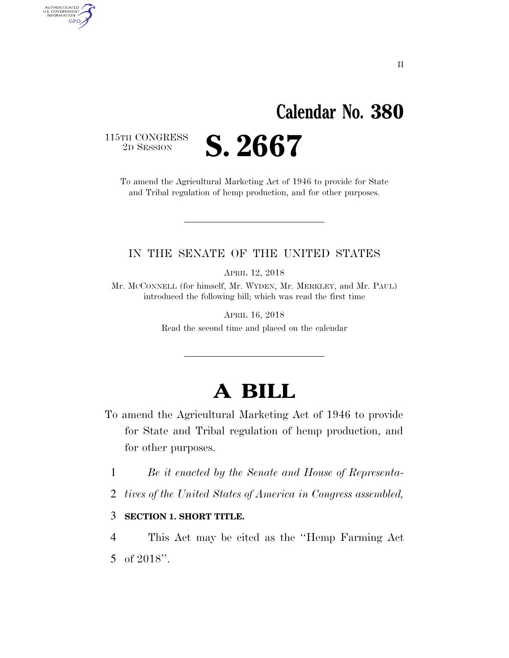## **Calendar No. 380**

115TH CONGRESS<br>2D SESSION

AUTHENTICATED<br>U.S. GOVERNMENT<br>INFORMATION GPO

2D SESSION **S. 2667** 

To amend the Agricultural Marketing Act of 1946 to provide for State and Tribal regulation of hemp production, and for other purposes.

#### IN THE SENATE OF THE UNITED STATES

APRIL 12, 2018

Mr. MCCONNELL (for himself, Mr. WYDEN, Mr. MERKLEY, and Mr. PAUL) introduced the following bill; which was read the first time

> APRIL 16, 2018 Read the second time and placed on the calendar

## **A BILL**

- To amend the Agricultural Marketing Act of 1946 to provide for State and Tribal regulation of hemp production, and for other purposes.
	- 1 *Be it enacted by the Senate and House of Representa-*
	- 2 *tives of the United States of America in Congress assembled,*

#### 3 **SECTION 1. SHORT TITLE.**

4 This Act may be cited as the ''Hemp Farming Act 5 of 2018''.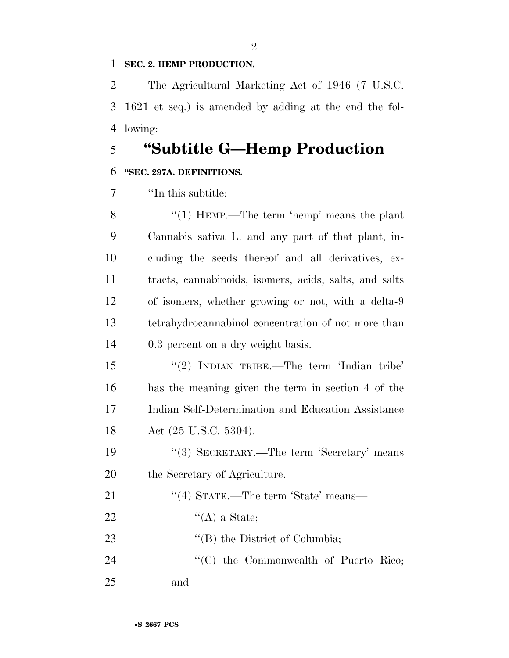#### **SEC. 2. HEMP PRODUCTION.**

 The Agricultural Marketing Act of 1946 (7 U.S.C. 1621 et seq.) is amended by adding at the end the fol-lowing:

### **''Subtitle G—Hemp Production**

#### **''SEC. 297A. DEFINITIONS.**

''In this subtitle:

8 "(1) HEMP.—The term 'hemp' means the plant Cannabis sativa L. and any part of that plant, in- cluding the seeds thereof and all derivatives, ex- tracts, cannabinoids, isomers, acids, salts, and salts of isomers, whether growing or not, with a delta-9 tetrahydrocannabinol concentration of not more than 0.3 percent on a dry weight basis.

 ''(2) INDIAN TRIBE.—The term 'Indian tribe' has the meaning given the term in section 4 of the Indian Self-Determination and Education Assistance 18 Act (25 U.S.C. 5304).

19 ''(3) SECRETARY.—The term 'Secretary' means the Secretary of Agriculture.

| 21 | "(4) STATE.—The term 'State' means—           |
|----|-----------------------------------------------|
| 22 | $\lq\lq (A)$ a State;                         |
| 23 | $\lq\lq$ (B) the District of Columbia;        |
| 24 | $\lq\lq$ (C) the Commonwealth of Puerto Rico; |
| 25 | and                                           |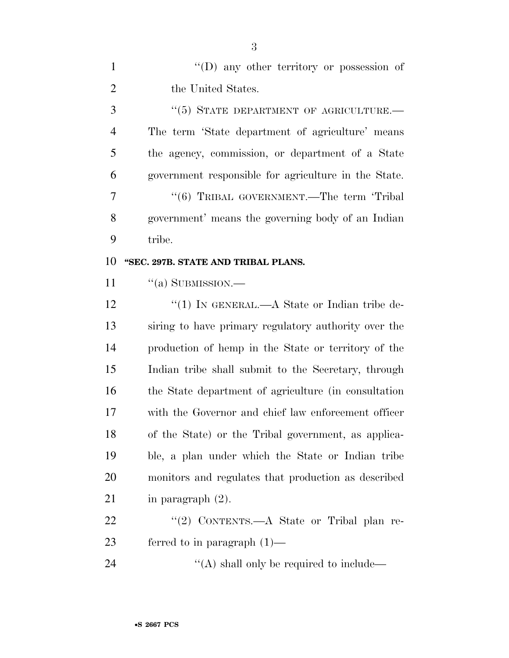|                | $\lq\lq$ (D) any other territory or possession of    |
|----------------|------------------------------------------------------|
| 2              | the United States.                                   |
| 3              | $``(5)$ STATE DEPARTMENT OF AGRICULTURE.—            |
| $\overline{4}$ | The term 'State department of agriculture' means     |
| 5              | the agency, commission, or department of a State     |
| 6              | government responsible for agriculture in the State. |
| 7              | "(6) TRIBAL GOVERNMENT.—The term 'Tribal             |
| 8              | government' means the governing body of an Indian    |
| 9              | tribe.                                               |
|                |                                                      |

#### **''SEC. 297B. STATE AND TRIBAL PLANS.**

11 "(a) SUBMISSION.—

12 "(1) IN GENERAL.—A State or Indian tribe de- siring to have primary regulatory authority over the production of hemp in the State or territory of the Indian tribe shall submit to the Secretary, through the State department of agriculture (in consultation with the Governor and chief law enforcement officer of the State) or the Tribal government, as applica- ble, a plan under which the State or Indian tribe monitors and regulates that production as described 21 in paragraph  $(2)$ .

22 "(2) CONTENTS.—A State or Tribal plan re-ferred to in paragraph (1)—

24  $\langle (A)$  shall only be required to include—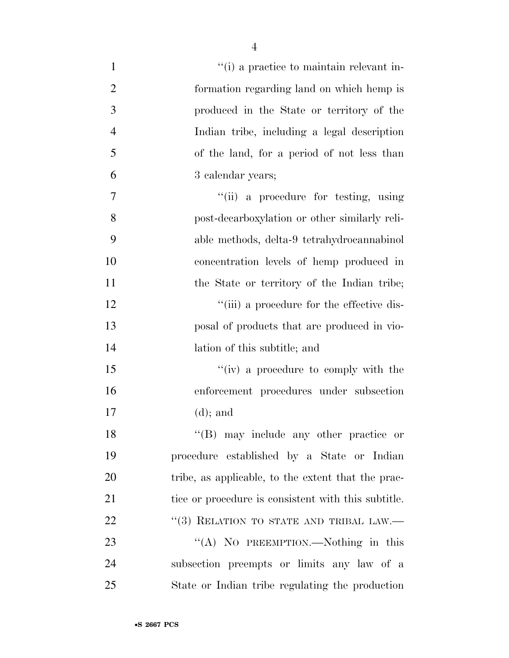| $\mathbf{1}$   | "(i) a practice to maintain relevant in-            |
|----------------|-----------------------------------------------------|
| $\overline{2}$ | formation regarding land on which hemp is           |
| 3              | produced in the State or territory of the           |
| $\overline{4}$ | Indian tribe, including a legal description         |
| 5              | of the land, for a period of not less than          |
| 6              | 3 calendar years;                                   |
| 7              | "(ii) a procedure for testing, using                |
| 8              | post-decarboxylation or other similarly reli-       |
| 9              | able methods, delta-9 tetrahydrocannabinol          |
| 10             | concentration levels of hemp produced in            |
| 11             | the State or territory of the Indian tribe;         |
| 12             | "(iii) a procedure for the effective dis-           |
| 13             | posal of products that are produced in vio-         |
| 14             | lation of this subtitle; and                        |
| 15             | "(iv) a procedure to comply with the                |
| 16             | enforcement procedures under subsection             |
| 17             | $(d)$ ; and                                         |
| 18             | $\lq\lq(B)$ may include any other practice or       |
| 19             | procedure established by a State or Indian          |
| 20             | tribe, as applicable, to the extent that the prac-  |
| 21             | tice or procedure is consistent with this subtitle. |
| 22             | "(3) RELATION TO STATE AND TRIBAL LAW.—             |
| 23             | "(A) NO PREEMPTION.—Nothing in this                 |
| 24             | subsection preempts or limits any law of a          |
| 25             | State or Indian tribe regulating the production     |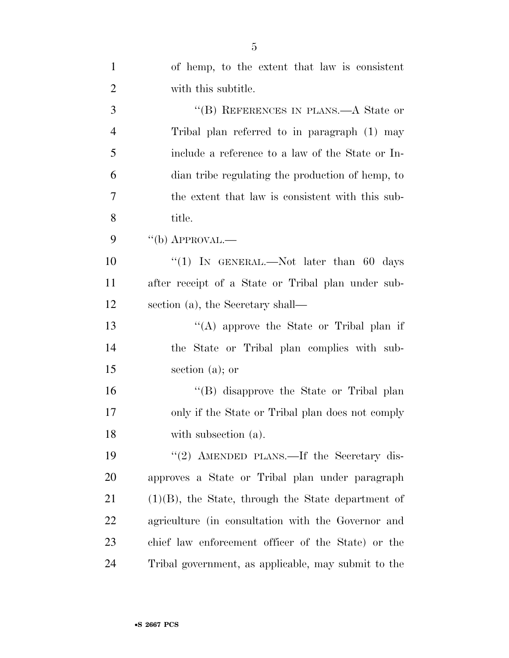| $\mathbf{1}$   | of hemp, to the extent that law is consistent         |
|----------------|-------------------------------------------------------|
| $\overline{2}$ | with this subtitle.                                   |
| 3              | "(B) REFERENCES IN PLANS.—A State or                  |
| $\overline{4}$ | Tribal plan referred to in paragraph (1) may          |
| 5              | include a reference to a law of the State or In-      |
| 6              | dian tribe regulating the production of hemp, to      |
| 7              | the extent that law is consistent with this sub-      |
| 8              | title.                                                |
| 9              | $``$ (b) APPROVAL.—                                   |
| 10             | "(1) IN GENERAL.—Not later than 60 days               |
| 11             | after receipt of a State or Tribal plan under sub-    |
| 12             | section (a), the Secretary shall—                     |
| 13             | "(A) approve the State or Tribal plan if              |
| 14             | the State or Tribal plan complies with sub-           |
| 15             | section $(a)$ ; or                                    |
| 16             | "(B) disapprove the State or Tribal plan              |
| 17             | only if the State or Tribal plan does not comply      |
| 18             | with subsection (a).                                  |
| 19             | "(2) AMENDED PLANS.—If the Secretary dis-             |
| 20             | approves a State or Tribal plan under paragraph       |
| 21             | $(1)(B)$ , the State, through the State department of |
| 22             | agriculture (in consultation with the Governor and    |
| 23             | chief law enforcement officer of the State) or the    |
| 24             | Tribal government, as applicable, may submit to the   |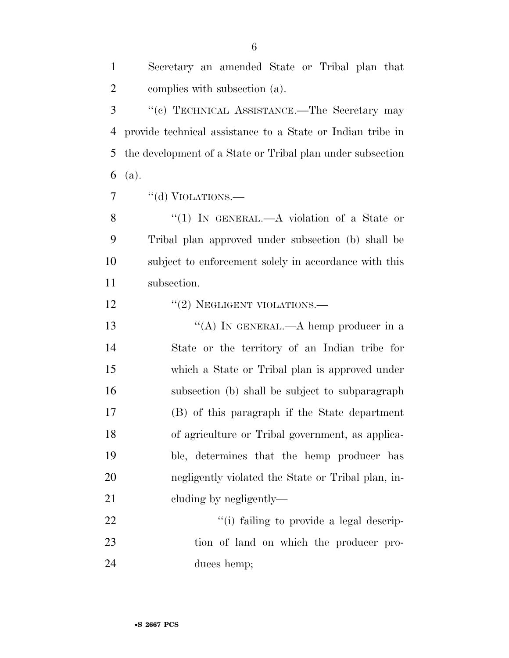| $\overline{2}$ | complies with subsection (a).                              |
|----------------|------------------------------------------------------------|
| 3              | "(c) TECHNICAL ASSISTANCE.—The Secretary may               |
| $\overline{4}$ | provide technical assistance to a State or Indian tribe in |
| 5              | the development of a State or Tribal plan under subsection |
| 6              | (a).                                                       |
| 7              | "(d) VIOLATIONS.—                                          |
| 8              | "(1) IN GENERAL.—A violation of a State or                 |
| 9              | Tribal plan approved under subsection (b) shall be         |
| 10             | subject to enforcement solely in accordance with this      |
| 11             | subsection.                                                |
| 12             | $"(2)$ NEGLIGENT VIOLATIONS.—                              |
| 13             | "(A) IN GENERAL.—A hemp producer in a                      |
| 14             | State or the territory of an Indian tribe for              |
| 15             | which a State or Tribal plan is approved under             |
| 16             | subsection (b) shall be subject to subparagraph            |
| 17             | (B) of this paragraph if the State department              |
| 18             | of agriculture or Tribal government, as applica-           |
| 19             | ble, determines that the hemp producer has                 |
| 20             | negligently violated the State or Tribal plan, in-         |
| 21             | cluding by negligently—                                    |
| 22             | "(i) failing to provide a legal descrip-                   |

 tion of land on which the producer pro-duces hemp;

Secretary an amended State or Tribal plan that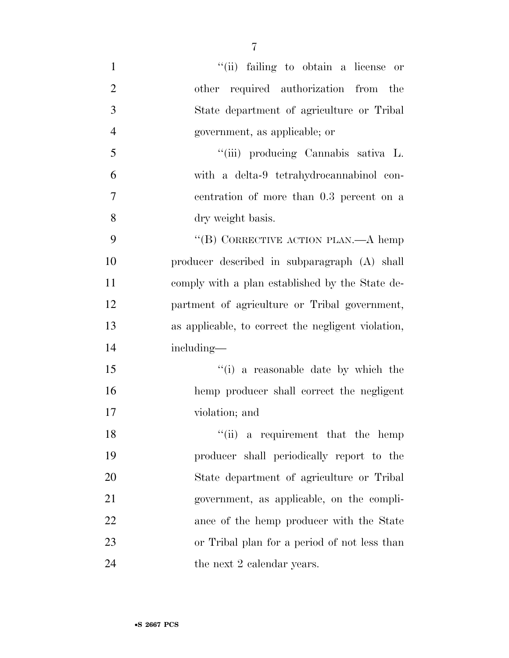| $\mathbf{1}$   | "(ii) failing to obtain a license or               |
|----------------|----------------------------------------------------|
| $\overline{2}$ | other required authorization from the              |
| 3              | State department of agriculture or Tribal          |
| $\overline{4}$ | government, as applicable; or                      |
| 5              | "(iii) producing Cannabis sativa L.                |
| 6              | with a delta-9 tetrahydrocannabinol con-           |
| 7              | centration of more than 0.3 percent on a           |
| 8              | dry weight basis.                                  |
| 9              | "(B) CORRECTIVE ACTION PLAN.—A hemp                |
| 10             | producer described in subparagraph (A) shall       |
| 11             | comply with a plan established by the State de-    |
| 12             | partment of agriculture or Tribal government,      |
| 13             | as applicable, to correct the negligent violation, |
| 14             | including-                                         |
| 15             | "(i) a reasonable date by which the                |
| 16             | hemp producer shall correct the negligent          |
| 17             | violation; and                                     |
| 18             | "(ii) a requirement that the hemp                  |
| 19             | producer shall periodically report to the          |
| 20             | State department of agriculture or Tribal          |
| 21             | government, as applicable, on the compli-          |
| 22             | ance of the hemp producer with the State           |
| 23             | or Tribal plan for a period of not less than       |
| 24             | the next 2 calendar years.                         |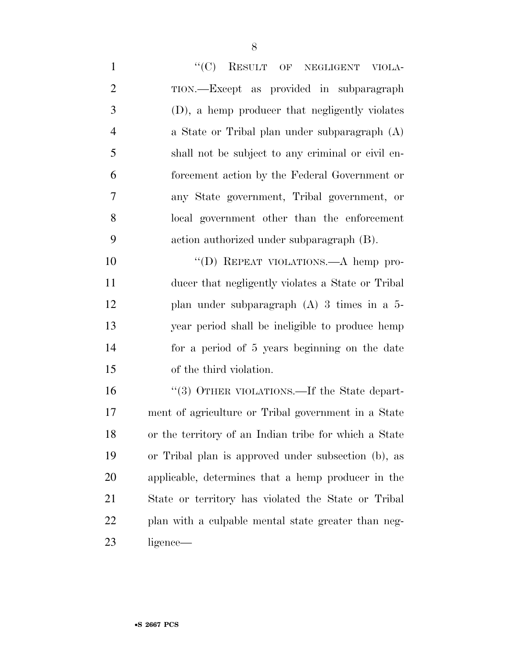1 "'(C) RESULT OF NEGLIGENT VIOLA- TION.—Except as provided in subparagraph (D), a hemp producer that negligently violates a State or Tribal plan under subparagraph (A) shall not be subject to any criminal or civil en- forcement action by the Federal Government or any State government, Tribal government, or local government other than the enforcement action authorized under subparagraph (B).

10 "(D) REPEAT VIOLATIONS.—A hemp pro- ducer that negligently violates a State or Tribal plan under subparagraph (A) 3 times in a 5- year period shall be ineligible to produce hemp for a period of 5 years beginning on the date of the third violation.

16 "(3) OTHER VIOLATIONS.—If the State depart- ment of agriculture or Tribal government in a State or the territory of an Indian tribe for which a State or Tribal plan is approved under subsection (b), as applicable, determines that a hemp producer in the State or territory has violated the State or Tribal plan with a culpable mental state greater than neg-ligence—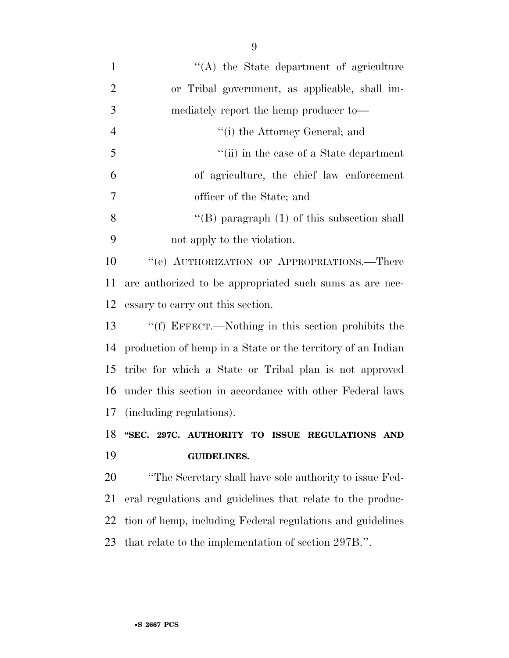| $\mathbf{1}$   | $\lq\lq$ the State department of agriculture                |
|----------------|-------------------------------------------------------------|
| $\overline{2}$ | or Tribal government, as applicable, shall im-              |
| 3              | mediately report the hemp producer to-                      |
| $\overline{4}$ | "(i) the Attorney General; and                              |
| 5              | "(ii) in the case of a State department                     |
| 6              | of agriculture, the chief law enforcement                   |
| 7              | officer of the State; and                                   |
| 8              | "(B) paragraph $(1)$ of this subsection shall               |
| 9              | not apply to the violation.                                 |
| 10             | "(e) AUTHORIZATION OF APPROPRIATIONS.—There                 |
| 11             | are authorized to be appropriated such sums as are nec-     |
| 12             | essary to carry out this section.                           |
| 13             | "(f) EFFECT.—Nothing in this section prohibits the          |
| 14             | production of hemp in a State or the territory of an Indian |
| 15             | tribe for which a State or Tribal plan is not approved      |
| 16             | under this section in accordance with other Federal laws    |
| 17             | (including regulations).                                    |
| 18             | "SEC. 297C. AUTHORITY TO ISSUE REGULATIONS AND              |
| 19             | <b>GUIDELINES.</b>                                          |
| 20             | "The Secretary shall have sole authority to issue Fed-      |
| 21             | eral regulations and guidelines that relate to the produc-  |
| 22             | tion of hemp, including Federal regulations and guidelines  |
|                |                                                             |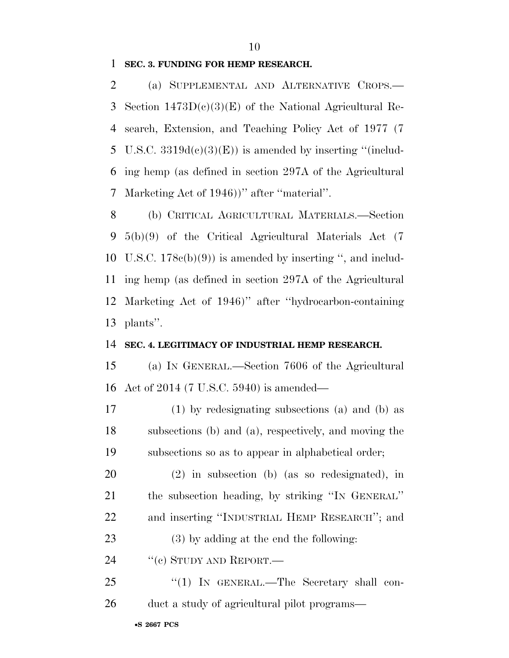**SEC. 3. FUNDING FOR HEMP RESEARCH.** 

 (a) SUPPLEMENTAL AND ALTERNATIVE CROPS.— Section 1473D(c)(3)(E) of the National Agricultural Re- search, Extension, and Teaching Policy Act of 1977 (7 5 U.S.C.  $3319d(e)(3)(E)$  is amended by inserting "(includ- ing hemp (as defined in section 297A of the Agricultural Marketing Act of 1946))'' after ''material''.

 (b) CRITICAL AGRICULTURAL MATERIALS.—Section 5(b)(9) of the Critical Agricultural Materials Act (7 U.S.C. 178c(b)(9)) is amended by inserting '', and includ- ing hemp (as defined in section 297A of the Agricultural Marketing Act of 1946)'' after ''hydrocarbon-containing plants''.

#### **SEC. 4. LEGITIMACY OF INDUSTRIAL HEMP RESEARCH.**

 (a) IN GENERAL.—Section 7606 of the Agricultural Act of 2014 (7 U.S.C. 5940) is amended—

 (1) by redesignating subsections (a) and (b) as subsections (b) and (a), respectively, and moving the subsections so as to appear in alphabetical order;

 (2) in subsection (b) (as so redesignated), in the subsection heading, by striking ''IN GENERAL'' and inserting ''INDUSTRIAL HEMP RESEARCH''; and

(3) by adding at the end the following:

24 "(c) STUDY AND REPORT.—

25 "(1) IN GENERAL.—The Secretary shall con-duct a study of agricultural pilot programs—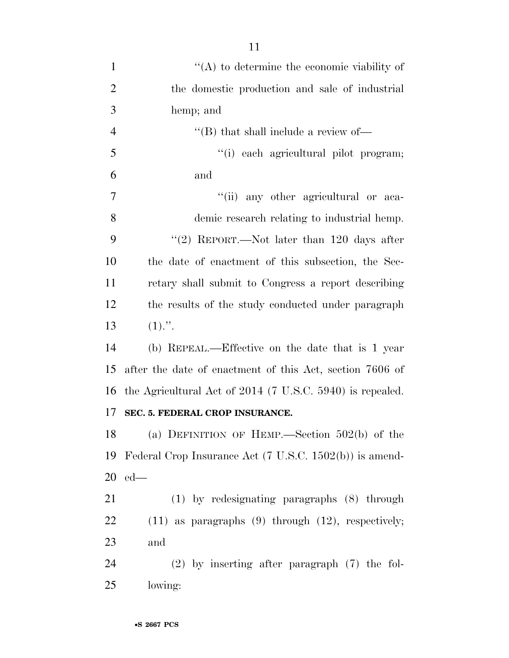| $\mathbf{1}$   | $\lq\lq$ to determine the economic viability of                    |
|----------------|--------------------------------------------------------------------|
| $\overline{2}$ | the domestic production and sale of industrial                     |
| 3              | hemp; and                                                          |
| $\overline{4}$ | "(B) that shall include a review of-                               |
| 5              | "(i) each agricultural pilot program;                              |
| 6              | and                                                                |
| $\overline{7}$ | "(ii) any other agricultural or aca-                               |
| 8              | demic research relating to industrial hemp.                        |
| 9              | "(2) REPORT.—Not later than $120$ days after                       |
| 10             | the date of enactment of this subsection, the Sec-                 |
| 11             | retary shall submit to Congress a report describing                |
| 12             | the results of the study conducted under paragraph                 |
| 13             | $(1)$ .".                                                          |
| 14             | (b) REPEAL.—Effective on the date that is 1 year                   |
| 15             | after the date of enactment of this Act, section 7606 of           |
| 16             | the Agricultural Act of 2014 (7 U.S.C. 5940) is repealed.          |
| 17             | SEC. 5. FEDERAL CROP INSURANCE.                                    |
| 18             | (a) DEFINITION OF HEMP.—Section $502(b)$ of the                    |
| 19             | Federal Crop Insurance Act $(7 \text{ U.S.C. } 1502(b))$ is amend- |
| 20             | $ed$ —                                                             |
| 21             | $(1)$ by redesignating paragraphs $(8)$ through                    |
| 22             | $(11)$ as paragraphs $(9)$ through $(12)$ , respectively;          |
| 23             | and                                                                |
| 24             | $(2)$ by inserting after paragraph $(7)$ the fol-                  |
| 25             | lowing:                                                            |
|                |                                                                    |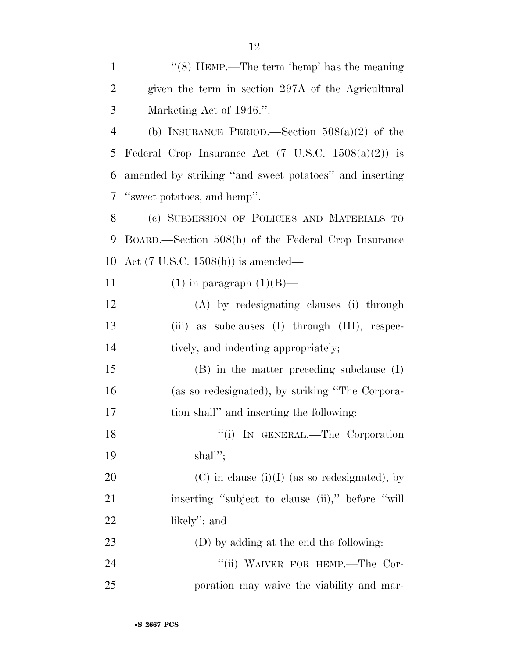| $\mathbf{1}$   | " $(8)$ HEMP.—The term 'hemp' has the meaning                  |
|----------------|----------------------------------------------------------------|
| $\overline{2}$ | given the term in section 297A of the Agricultural             |
| 3              | Marketing Act of 1946.".                                       |
| $\overline{4}$ | (b) INSURANCE PERIOD.—Section $508(a)(2)$ of the               |
| 5              | Federal Crop Insurance Act $(7 \text{ U.S.C. } 1508(a)(2))$ is |
| 6              | amended by striking "and sweet potatoes" and inserting         |
| 7              | "sweet potatoes, and hemp".                                    |
| 8              | (c) SUBMISSION OF POLICIES AND MATERIALS TO                    |
| 9              | BOARD.—Section 508(h) of the Federal Crop Insurance            |
| 10             | Act $(7 \text{ U.S.C. } 1508(h))$ is amended—                  |
| 11             | $(1)$ in paragraph $(1)(B)$ —                                  |
| 12             | (A) by redesignating clauses (i) through                       |
| 13             | (iii) as subclauses (I) through (III), respec-                 |
| 14             | tively, and indenting appropriately;                           |
| 15             | $(B)$ in the matter preceding subclause $(I)$                  |
| 16             | (as so redesignated), by striking "The Corpora-                |
| 17             | tion shall" and inserting the following:                       |
| 18             | "(i) IN GENERAL.—The Corporation                               |
| 19             | shall";                                                        |
| 20             | $(C)$ in clause (i)(I) (as so redesignated), by                |
| 21             | inserting "subject to clause (ii)," before "will               |
| 22             | likely"; and                                                   |
| 23             | (D) by adding at the end the following:                        |
| 24             | "(ii) WAIVER FOR HEMP.—The Cor-                                |
| 25             | poration may waive the viability and mar-                      |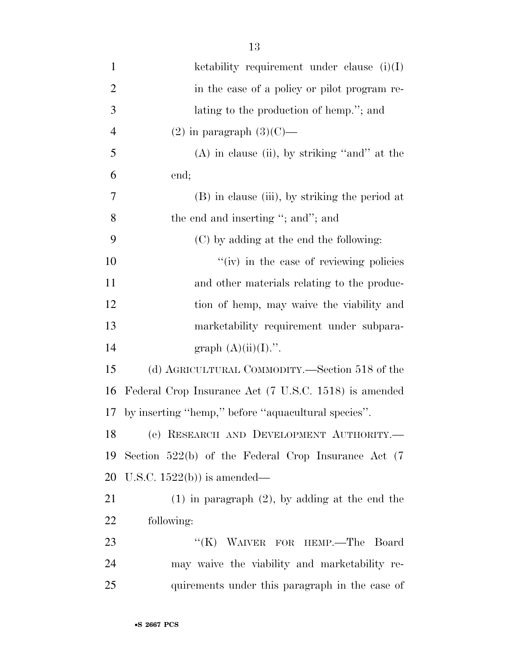| $\mathbf{1}$   | ketability requirement under clause $(i)(I)$             |
|----------------|----------------------------------------------------------|
| $\overline{2}$ | in the case of a policy or pilot program re-             |
| 3              | lating to the production of hemp."; and                  |
| $\overline{4}$ | $(2)$ in paragraph $(3)(C)$ —                            |
| 5              | $(A)$ in clause (ii), by striking "and" at the           |
| 6              | end;                                                     |
| 7              | (B) in clause (iii), by striking the period at           |
| 8              | the end and inserting "; and"; and                       |
| 9              | (C) by adding at the end the following:                  |
| 10             | "(iv) in the case of reviewing policies                  |
| 11             | and other materials relating to the produc-              |
| 12             | tion of hemp, may waive the viability and                |
| 13             | marketability requirement under subpara-                 |
| 14             | graph $(A)(ii)(I)$ .".                                   |
| 15             | (d) AGRICULTURAL COMMODITY.—Section 518 of the           |
| 16             | Federal Crop Insurance Act (7 U.S.C. 1518) is amended    |
| 17             | by inserting "hemp," before "aquacultural species".      |
| 18             | (e) RESEARCH AND DEVELOPMENT AUTHORITY.                  |
| 19             | Section $522(b)$ of the Federal Crop Insurance Act $(7)$ |
| 20             | U.S.C. $1522(b)$ is amended—                             |
| 21             | $(1)$ in paragraph $(2)$ , by adding at the end the      |
| 22             | following:                                               |
| 23             | "(K) WAIVER FOR HEMP.-The Board                          |
| 24             | may waive the viability and marketability re-            |
| 25             | quirements under this paragraph in the case of           |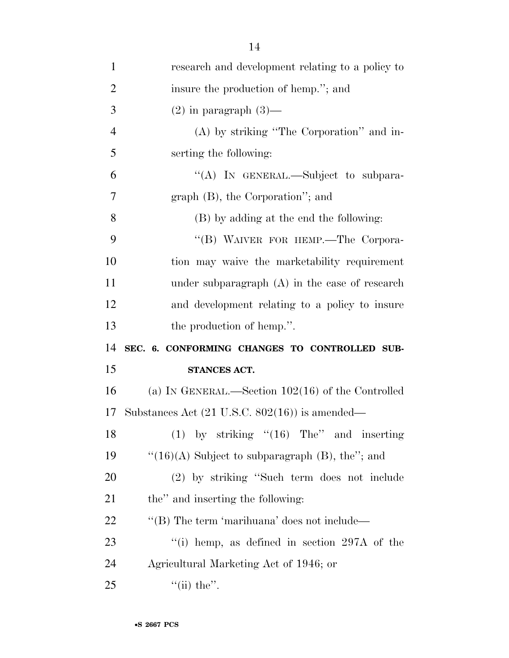| $\mathbf{1}$   | research and development relating to a policy to               |
|----------------|----------------------------------------------------------------|
| $\overline{2}$ | insure the production of hemp."; and                           |
| 3              | $(2)$ in paragraph $(3)$ —                                     |
| $\overline{4}$ | (A) by striking "The Corporation" and in-                      |
| 5              | serting the following:                                         |
| 6              | "(A) IN GENERAL.—Subject to subpara-                           |
| 7              | $graph(B)$ , the Corporation"; and                             |
| 8              | (B) by adding at the end the following:                        |
| 9              | "(B) WAIVER FOR HEMP.-The Corpora-                             |
| 10             | tion may waive the marketability requirement                   |
| 11             | under subparagraph $(A)$ in the case of research               |
| 12             | and development relating to a policy to insure                 |
|                |                                                                |
| 13             | the production of hemp.".                                      |
| 14             | SEC. 6. CONFORMING CHANGES TO CONTROLLED SUB-                  |
| 15             | STANCES ACT.                                                   |
| 16             | (a) IN GENERAL.—Section $102(16)$ of the Controlled            |
| 17             | Substances Act $(21 \text{ U.S.C. } 802(16))$ is amended—      |
| 18             | $(1)$ by striking " $(16)$ The" and inserting                  |
| 19             | " $(16)(A)$ Subject to subparagraph (B), the"; and             |
| 20             | (2) by striking "Such term does not include                    |
| 21             | the" and inserting the following:                              |
| 22             | "(B) The term 'marihuana' does not include—                    |
| 23             | $\lq$ <sup>"</sup> (i) hemp, as defined in section 297A of the |
| 24             | Agricultural Marketing Act of 1946; or                         |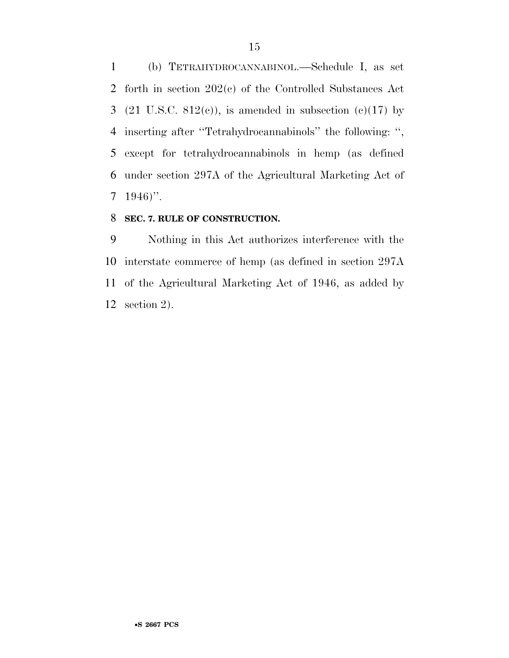(b) TETRAHYDROCANNABINOL.—Schedule I, as set forth in section 202(c) of the Controlled Substances Act 3 (21 U.S.C. 812 $(e)$ ), is amended in subsection  $(e)(17)$  by inserting after ''Tetrahydrocannabinols'' the following: '', except for tetrahydrocannabinols in hemp (as defined under section 297A of the Agricultural Marketing Act of  $7 \quad 1946$ ".

#### **SEC. 7. RULE OF CONSTRUCTION.**

 Nothing in this Act authorizes interference with the interstate commerce of hemp (as defined in section 297A of the Agricultural Marketing Act of 1946, as added by section 2).